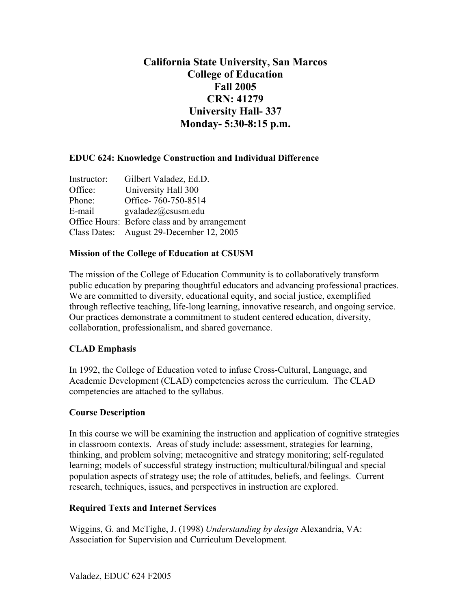# **California State University, San Marcos College of Education Fall 2005 CRN: 41279 University Hall- 337 Monday- 5:30-8:15 p.m.**

## **EDUC 624: Knowledge Construction and Individual Difference**

| Instructor: | Gilbert Valadez, Ed.D.                        |
|-------------|-----------------------------------------------|
| Office:     | University Hall 300                           |
| Phone:      | Office-760-750-8514                           |
| E-mail      | $\text{gvaladez}(a) \text{c} \text{susm.edu}$ |
|             | Office Hours: Before class and by arrangement |
|             | Class Dates: August 29-December 12, 2005      |

#### **Mission of the College of Education at CSUSM**

The mission of the College of Education Community is to collaboratively transform public education by preparing thoughtful educators and advancing professional practices. We are committed to diversity, educational equity, and social justice, exemplified through reflective teaching, life-long learning, innovative research, and ongoing service. Our practices demonstrate a commitment to student centered education, diversity, collaboration, professionalism, and shared governance.

#### **CLAD Emphasis**

In 1992, the College of Education voted to infuse Cross-Cultural, Language, and Academic Development (CLAD) competencies across the curriculum. The CLAD competencies are attached to the syllabus.

#### **Course Description**

In this course we will be examining the instruction and application of cognitive strategies in classroom contexts. Areas of study include: assessment, strategies for learning, thinking, and problem solving; metacognitive and strategy monitoring; self-regulated learning; models of successful strategy instruction; multicultural/bilingual and special population aspects of strategy use; the role of attitudes, beliefs, and feelings. Current research, techniques, issues, and perspectives in instruction are explored.

#### **Required Texts and Internet Services**

Wiggins, G. and McTighe, J. (1998) *Understanding by design* Alexandria, VA: Association for Supervision and Curriculum Development.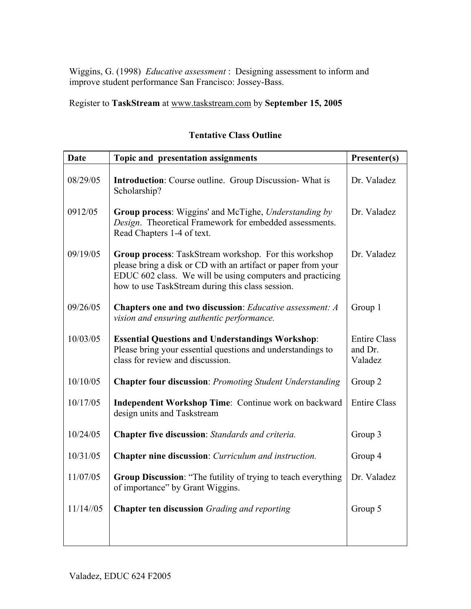Wiggins, G. (1998) *Educative assessment* : Designing assessment to inform and improve student performance San Francisco: Jossey-Bass.

Register to **TaskStream** at www.taskstream.com by **September 15, 2005**

| <b>Date</b> | Topic and presentation assignments                                                                                                                                                                                                      | Presenter(s)                              |
|-------------|-----------------------------------------------------------------------------------------------------------------------------------------------------------------------------------------------------------------------------------------|-------------------------------------------|
| 08/29/05    | <b>Introduction:</b> Course outline. Group Discussion-What is<br>Scholarship?                                                                                                                                                           | Dr. Valadez                               |
| 0912/05     | Group process: Wiggins' and McTighe, Understanding by<br>Design. Theoretical Framework for embedded assessments.<br>Read Chapters 1-4 of text.                                                                                          | Dr. Valadez                               |
| 09/19/05    | Group process: TaskStream workshop. For this workshop<br>please bring a disk or CD with an artifact or paper from your<br>EDUC 602 class. We will be using computers and practicing<br>how to use TaskStream during this class session. | Dr. Valadez                               |
| 09/26/05    | Chapters one and two discussion: Educative assessment: A<br>vision and ensuring authentic performance.                                                                                                                                  | Group 1                                   |
| 10/03/05    | <b>Essential Questions and Understandings Workshop:</b><br>Please bring your essential questions and understandings to<br>class for review and discussion.                                                                              | <b>Entire Class</b><br>and Dr.<br>Valadez |
| 10/10/05    | <b>Chapter four discussion: Promoting Student Understanding</b>                                                                                                                                                                         | Group 2                                   |
| 10/17/05    | Independent Workshop Time: Continue work on backward<br>design units and Taskstream                                                                                                                                                     | <b>Entire Class</b>                       |
| 10/24/05    | Chapter five discussion: Standards and criteria.                                                                                                                                                                                        | Group 3                                   |
| 10/31/05    | <b>Chapter nine discussion</b> : <i>Curriculum and instruction</i> .                                                                                                                                                                    | Group 4                                   |
| 11/07/05    | Group Discussion: "The futility of trying to teach everything<br>of importance" by Grant Wiggins.                                                                                                                                       | Dr. Valadez                               |
| 11/14/05    | <b>Chapter ten discussion</b> Grading and reporting                                                                                                                                                                                     | Group 5                                   |
|             |                                                                                                                                                                                                                                         |                                           |

## **Tentative Class Outline**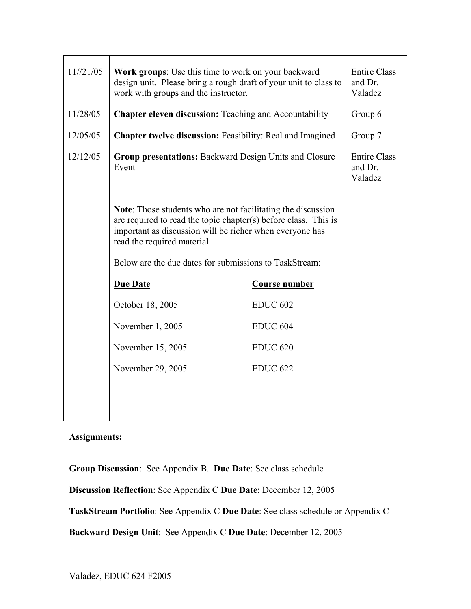| 11//21/05 | <b>Work groups:</b> Use this time to work on your backward<br>design unit. Please bring a rough draft of your unit to class to<br>work with groups and the instructor.                                                     |                      | <b>Entire Class</b><br>and Dr.<br>Valadez |
|-----------|----------------------------------------------------------------------------------------------------------------------------------------------------------------------------------------------------------------------------|----------------------|-------------------------------------------|
| 11/28/05  | <b>Chapter eleven discussion:</b> Teaching and Accountability                                                                                                                                                              |                      | Group 6                                   |
| 12/05/05  | Chapter twelve discussion: Feasibility: Real and Imagined                                                                                                                                                                  |                      | Group 7                                   |
| 12/12/05  | <b>Group presentations: Backward Design Units and Closure</b><br>Event                                                                                                                                                     |                      | <b>Entire Class</b><br>and Dr.<br>Valadez |
|           | Note: Those students who are not facilitating the discussion<br>are required to read the topic chapter(s) before class. This is<br>important as discussion will be richer when everyone has<br>read the required material. |                      |                                           |
|           | Below are the due dates for submissions to TaskStream:                                                                                                                                                                     |                      |                                           |
|           | <b>Due Date</b>                                                                                                                                                                                                            | <b>Course number</b> |                                           |
|           | October 18, 2005                                                                                                                                                                                                           | <b>EDUC 602</b>      |                                           |
|           | November 1, 2005                                                                                                                                                                                                           | <b>EDUC 604</b>      |                                           |
|           | November 15, 2005                                                                                                                                                                                                          | <b>EDUC 620</b>      |                                           |
|           | November 29, 2005                                                                                                                                                                                                          | <b>EDUC 622</b>      |                                           |
|           |                                                                                                                                                                                                                            |                      |                                           |
|           |                                                                                                                                                                                                                            |                      |                                           |

**Assignments:**

**Group Discussion**: See Appendix B. **Due Date**: See class schedule **Discussion Reflection**: See Appendix C **Due Date**: December 12, 2005 **TaskStream Portfolio**: See Appendix C **Due Date**: See class schedule or Appendix C **Backward Design Unit**: See Appendix C **Due Date**: December 12, 2005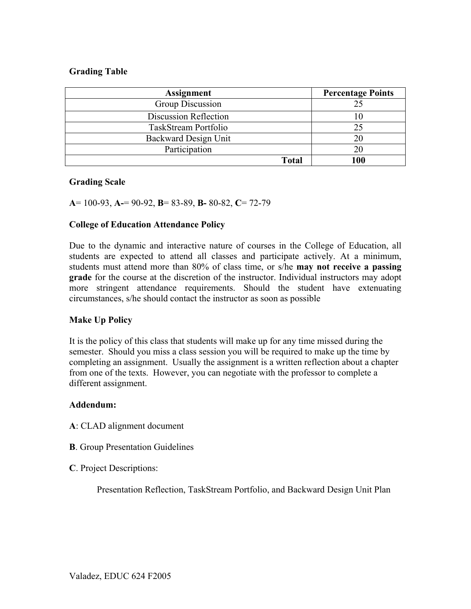#### **Grading Table**

| <b>Assignment</b>     | <b>Percentage Points</b> |
|-----------------------|--------------------------|
| Group Discussion      | 25                       |
| Discussion Reflection |                          |
| TaskStream Portfolio  | 25                       |
| Backward Design Unit  | 20                       |
| Participation         | 20                       |
| Total                 | 100                      |

#### **Grading Scale**

**A**= 100-93, **A-**= 90-92, **B**= 83-89, **B-** 80-82, **C**= 72-79

#### **College of Education Attendance Policy**

Due to the dynamic and interactive nature of courses in the College of Education, all students are expected to attend all classes and participate actively. At a minimum, students must attend more than 80% of class time, or s/he **may not receive a passing grade** for the course at the discretion of the instructor. Individual instructors may adopt more stringent attendance requirements. Should the student have extenuating circumstances, s/he should contact the instructor as soon as possible

#### **Make Up Policy**

It is the policy of this class that students will make up for any time missed during the semester. Should you miss a class session you will be required to make up the time by completing an assignment. Usually the assignment is a written reflection about a chapter from one of the texts. However, you can negotiate with the professor to complete a different assignment.

#### **Addendum:**

- **A**: CLAD alignment document
- **B**. Group Presentation Guidelines
- **C**. Project Descriptions:

Presentation Reflection, TaskStream Portfolio, and Backward Design Unit Plan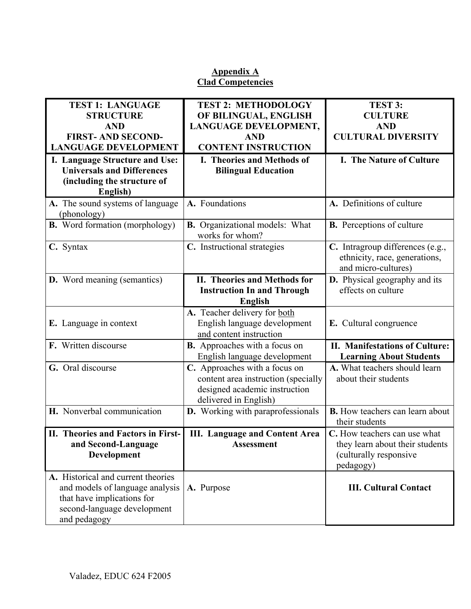## **Appendix A Clad Competencies**

| <b>TEST 1: LANGUAGE</b>                         | <b>TEST 2: METHODOLOGY</b>                               | TEST 3:                                                                                  |
|-------------------------------------------------|----------------------------------------------------------|------------------------------------------------------------------------------------------|
| <b>STRUCTURE</b>                                | OF BILINGUAL, ENGLISH                                    | <b>CULTURE</b>                                                                           |
| <b>AND</b>                                      | LANGUAGE DEVELOPMENT,                                    | <b>AND</b>                                                                               |
| <b>FIRST-AND SECOND-</b>                        | <b>AND</b>                                               | <b>CULTURAL DIVERSITY</b>                                                                |
| <b>LANGUAGE DEVELOPMENT</b>                     | <b>CONTENT INSTRUCTION</b>                               |                                                                                          |
| I. Language Structure and Use:                  | I. Theories and Methods of                               | I. The Nature of Culture                                                                 |
| <b>Universals and Differences</b>               | <b>Bilingual Education</b>                               |                                                                                          |
| (including the structure of                     |                                                          |                                                                                          |
| English)                                        |                                                          |                                                                                          |
| A. The sound systems of language<br>(phonology) | A. Foundations                                           | A. Definitions of culture                                                                |
| <b>B.</b> Word formation (morphology)           | <b>B.</b> Organizational models: What<br>works for whom? | <b>B.</b> Perceptions of culture                                                         |
| C. Syntax                                       | C. Instructional strategies                              | C. Intragroup differences (e.g.,<br>ethnicity, race, generations,<br>and micro-cultures) |
| <b>D.</b> Word meaning (semantics)              | <b>II. Theories and Methods for</b>                      | <b>D.</b> Physical geography and its                                                     |
|                                                 | <b>Instruction In and Through</b>                        | effects on culture                                                                       |
|                                                 | <b>English</b>                                           |                                                                                          |
|                                                 | A. Teacher delivery for both                             |                                                                                          |
| E. Language in context                          | English language development                             | E. Cultural congruence                                                                   |
|                                                 | and content instruction                                  |                                                                                          |
| F. Written discourse                            | <b>B.</b> Approaches with a focus on                     | <b>II. Manifestations of Culture:</b>                                                    |
|                                                 | English language development                             | <b>Learning About Students</b>                                                           |
| G. Oral discourse                               | C. Approaches with a focus on                            | A. What teachers should learn                                                            |
|                                                 | content area instruction (specially                      | about their students                                                                     |
|                                                 | designed academic instruction                            |                                                                                          |
|                                                 | delivered in English)                                    |                                                                                          |
| H. Nonverbal communication                      | D. Working with paraprofessionals                        | <b>B.</b> How teachers can learn about                                                   |
|                                                 |                                                          | their students                                                                           |
| II. Theories and Factors in First-              | <b>III. Language and Content Area</b>                    | C. How teachers can use what                                                             |
| and Second-Language                             | Assessment                                               | they learn about their students                                                          |
| Development                                     |                                                          | (culturally responsive                                                                   |
|                                                 |                                                          | pedagogy)                                                                                |
| A. Historical and current theories              |                                                          |                                                                                          |
| and models of language analysis                 | A. Purpose                                               | <b>III. Cultural Contact</b>                                                             |
| that have implications for                      |                                                          |                                                                                          |
| second-language development                     |                                                          |                                                                                          |
| and pedagogy                                    |                                                          |                                                                                          |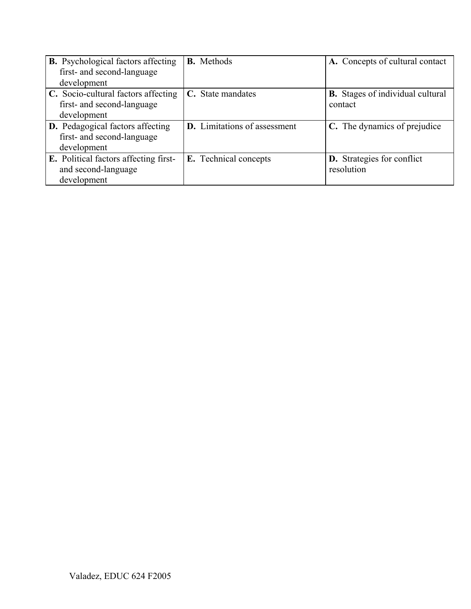| <b>B.</b> Psychological factors affecting<br>first- and second-language | <b>B.</b> Methods                   | A. Concepts of cultural contact         |
|-------------------------------------------------------------------------|-------------------------------------|-----------------------------------------|
| development                                                             |                                     |                                         |
| C. Socio-cultural factors affecting                                     | C. State mandates                   | <b>B.</b> Stages of individual cultural |
| first- and second-language                                              |                                     | contact                                 |
| development                                                             |                                     |                                         |
| <b>D.</b> Pedagogical factors affecting                                 | <b>D.</b> Limitations of assessment | C. The dynamics of prejudice            |
| first- and second-language                                              |                                     |                                         |
| development                                                             |                                     |                                         |
| <b>E.</b> Political factors affecting first-                            | E. Technical concepts               | <b>D.</b> Strategies for conflict       |
| and second-language                                                     |                                     | resolution                              |
| development                                                             |                                     |                                         |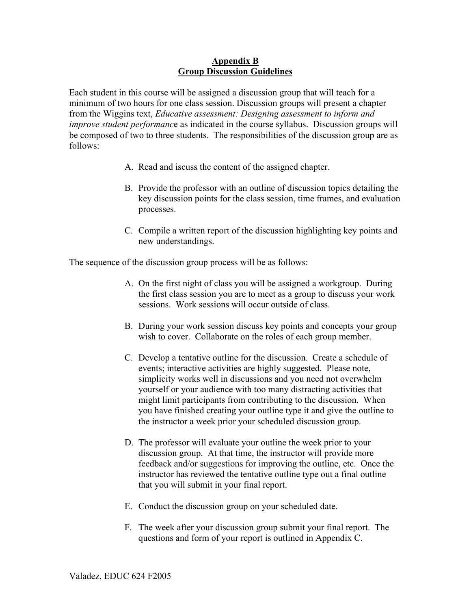#### **Appendix B Group Discussion Guidelines**

Each student in this course will be assigned a discussion group that will teach for a minimum of two hours for one class session. Discussion groups will present a chapter from the Wiggins text, *Educative assessment: Designing assessment to inform and improve student performanc*e as indicated in the course syllabus. Discussion groups will be composed of two to three students. The responsibilities of the discussion group are as follows:

- A. Read and iscuss the content of the assigned chapter.
- B. Provide the professor with an outline of discussion topics detailing the key discussion points for the class session, time frames, and evaluation processes.
- C. Compile a written report of the discussion highlighting key points and new understandings.

The sequence of the discussion group process will be as follows:

- A. On the first night of class you will be assigned a workgroup. During the first class session you are to meet as a group to discuss your work sessions. Work sessions will occur outside of class.
- B. During your work session discuss key points and concepts your group wish to cover. Collaborate on the roles of each group member.
- C. Develop a tentative outline for the discussion. Create a schedule of events; interactive activities are highly suggested. Please note, simplicity works well in discussions and you need not overwhelm yourself or your audience with too many distracting activities that might limit participants from contributing to the discussion. When you have finished creating your outline type it and give the outline to the instructor a week prior your scheduled discussion group.
- D. The professor will evaluate your outline the week prior to your discussion group. At that time, the instructor will provide more feedback and/or suggestions for improving the outline, etc. Once the instructor has reviewed the tentative outline type out a final outline that you will submit in your final report.
- E. Conduct the discussion group on your scheduled date.
- F. The week after your discussion group submit your final report. The questions and form of your report is outlined in Appendix C.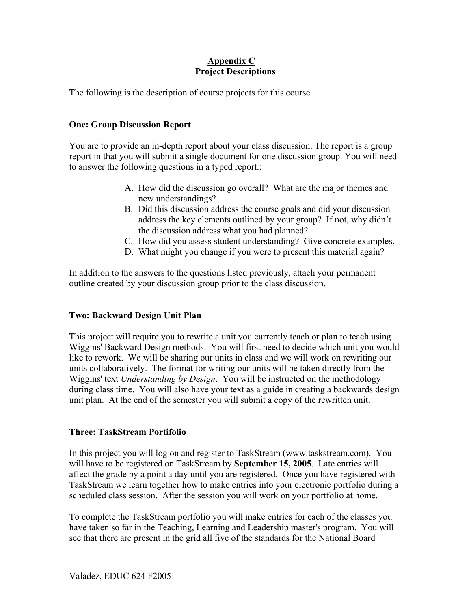## **Appendix C Project Descriptions**

The following is the description of course projects for this course.

## **One: Group Discussion Report**

You are to provide an in-depth report about your class discussion. The report is a group report in that you will submit a single document for one discussion group. You will need to answer the following questions in a typed report.:

- A. How did the discussion go overall? What are the major themes and new understandings?
- B. Did this discussion address the course goals and did your discussion address the key elements outlined by your group? If not, why didn't the discussion address what you had planned?
- C. How did you assess student understanding? Give concrete examples.
- D. What might you change if you were to present this material again?

In addition to the answers to the questions listed previously, attach your permanent outline created by your discussion group prior to the class discussion.

## **Two: Backward Design Unit Plan**

This project will require you to rewrite a unit you currently teach or plan to teach using Wiggins' Backward Design methods. You will first need to decide which unit you would like to rework. We will be sharing our units in class and we will work on rewriting our units collaboratively. The format for writing our units will be taken directly from the Wiggins' text *Understanding by Design*. You will be instructed on the methodology during class time. You will also have your text as a guide in creating a backwards design unit plan. At the end of the semester you will submit a copy of the rewritten unit.

## **Three: TaskStream Portifolio**

In this project you will log on and register to TaskStream (www.taskstream.com). You will have to be registered on TaskStream by **September 15, 2005**. Late entries will affect the grade by a point a day until you are registered. Once you have registered with TaskStream we learn together how to make entries into your electronic portfolio during a scheduled class session. After the session you will work on your portfolio at home.

To complete the TaskStream portfolio you will make entries for each of the classes you have taken so far in the Teaching, Learning and Leadership master's program. You will see that there are present in the grid all five of the standards for the National Board